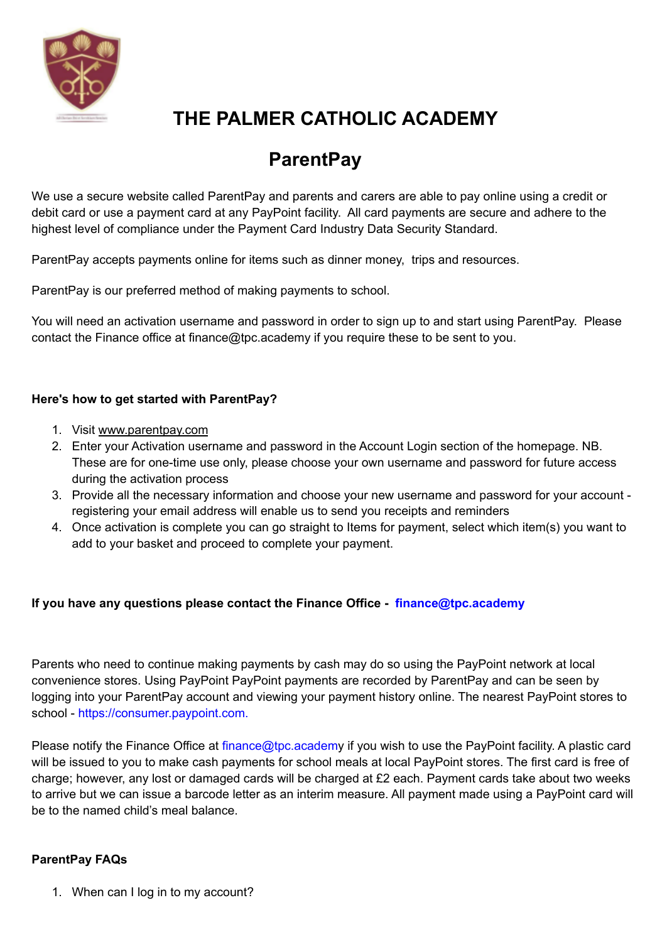

# **THE PALMER CATHOLIC ACADEMY**

# **ParentPay**

We use a secure website called ParentPay and parents and carers are able to pay online using a credit or debit card or use a payment card at any PayPoint facility. All card payments are secure and adhere to the highest level of compliance under the Payment Card Industry Data Security Standard.

ParentPay accepts payments online for items such as dinner money, trips and resources.

ParentPay is our preferred method of making payments to school.

You will need an activation username and password in order to sign up to and start using ParentPay. Please contact the Finance office at finance@tpc.academy if you require these to be sent to you.

### **Here's how to get started with ParentPay?**

- 1. Visit [www.parentpay.com](http://www.parentpay.com/)
- 2. Enter your Activation username and password in the Account Login section of the homepage. NB. These are for one-time use only, please choose your own username and password for future access during the activation process
- 3. Provide all the necessary information and choose your new username and password for your account registering your email address will enable us to send you receipts and reminders
- 4. Once activation is complete you can go straight to Items for payment, select which item(s) you want to add to your basket and proceed to complete your payment.

### **If you have any questions please contact the Finance Office - finance@tpc.academy**

Parents who need to continue making payments by cash may do so using the PayPoint network at local convenience stores. Using PayPoint PayPoint payments are recorded by ParentPay and can be seen by logging into your ParentPay account and viewing your payment history online. The nearest PayPoint stores to school - https://consumer.paypoint.com.

Please notify the Finance Office at finance@tpc.academy if you wish to use the PayPoint facility. A plastic card will be issued to you to make cash payments for school meals at local PayPoint stores. The first card is free of charge; however, any lost or damaged cards will be charged at £2 each. Payment cards take about two weeks to arrive but we can issue a barcode letter as an interim measure. All payment made using a PayPoint card will be to the named child's meal balance.

### **ParentPay FAQs**

1. When can I log in to my account?